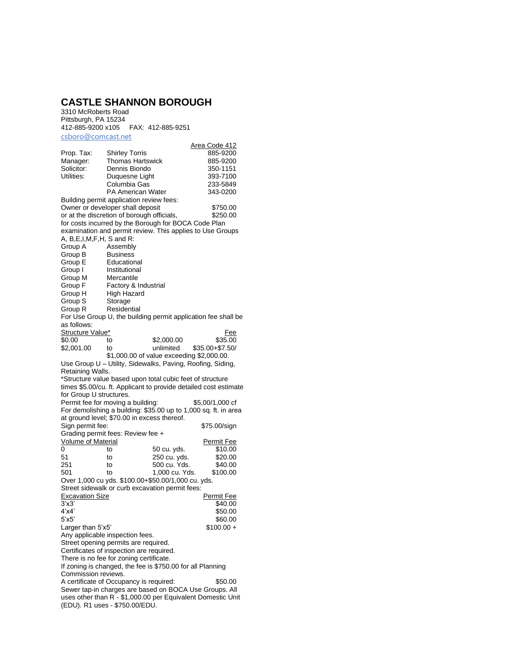## **CASTLE SHANNON BOROUGH**

3310 McRoberts Road Pittsburgh, PA 15234 412-885-9200 x105 FAX: 412-885-9251 csboro@comcast.net

|                                                                                                              | <u>out case the</u>                                       |                |                                                                  |  |
|--------------------------------------------------------------------------------------------------------------|-----------------------------------------------------------|----------------|------------------------------------------------------------------|--|
| Prop. Tax:                                                                                                   | <b>Shirley Torris</b>                                     |                | Area Code 412<br>885-9200                                        |  |
| Manager:                                                                                                     | <b>Thomas Hartswick</b>                                   |                | 885-9200                                                         |  |
| Solicitor:                                                                                                   | Dennis Biondo                                             |                | 350-1151                                                         |  |
| Utilities:                                                                                                   | Duquesne Light                                            |                | 393-7100                                                         |  |
|                                                                                                              | Columbia Gas                                              |                | 233-5849                                                         |  |
|                                                                                                              | <b>PA American Water</b>                                  |                | 343-0200                                                         |  |
|                                                                                                              | Building permit application review fees:                  |                |                                                                  |  |
|                                                                                                              | Owner or developer shall deposit                          |                | \$750.00                                                         |  |
|                                                                                                              | or at the discretion of borough officials,                |                | \$250.00                                                         |  |
|                                                                                                              | for costs incurred by the Borough for BOCA Code Plan      |                |                                                                  |  |
|                                                                                                              |                                                           |                | examination and permit review. This applies to Use Groups        |  |
| A, B,E,I,M,F,H, S and R:                                                                                     |                                                           |                |                                                                  |  |
| Group A                                                                                                      | Assembly                                                  |                |                                                                  |  |
| Group B                                                                                                      | <b>Business</b>                                           |                |                                                                  |  |
| Group E                                                                                                      | Educational                                               |                |                                                                  |  |
| Group I                                                                                                      | Institutional                                             |                |                                                                  |  |
| Group M                                                                                                      | Mercantile                                                |                |                                                                  |  |
| Group F                                                                                                      | Factory & Industrial                                      |                |                                                                  |  |
| Group H                                                                                                      | <b>High Hazard</b>                                        |                |                                                                  |  |
| Group S                                                                                                      | Storage                                                   |                |                                                                  |  |
| Group R                                                                                                      | Residential                                               |                |                                                                  |  |
|                                                                                                              |                                                           |                | For Use Group U, the building permit application fee shall be    |  |
| as follows:                                                                                                  |                                                           |                |                                                                  |  |
| Structure Value*                                                                                             |                                                           |                | Fee                                                              |  |
| \$0.00                                                                                                       | to                                                        | \$2,000.00     | \$35.00                                                          |  |
| \$2,001.00                                                                                                   | to                                                        | unlimited      | \$35.00+\$7.50/                                                  |  |
|                                                                                                              | \$1,000.00 of value exceeding \$2,000.00.                 |                |                                                                  |  |
| Retaining Walls.                                                                                             |                                                           |                | Use Group U - Utility, Sidewalks, Paving, Roofing, Siding,       |  |
|                                                                                                              |                                                           |                |                                                                  |  |
|                                                                                                              | *Structure value based upon total cubic feet of structure |                | times \$5.00/cu. ft. Applicant to provide detailed cost estimate |  |
| for Group U structures.                                                                                      |                                                           |                |                                                                  |  |
|                                                                                                              | Permit fee for moving a building:                         |                | \$5,00/1,000 cf                                                  |  |
| For demolishing a building: \$35.00 up to 1,000 sq. ft. in area                                              |                                                           |                |                                                                  |  |
|                                                                                                              | at ground level; \$70.00 in excess thereof.               |                |                                                                  |  |
| Sign permit fee:                                                                                             |                                                           |                | \$75.00/sign                                                     |  |
|                                                                                                              | Grading permit fees: Review fee +                         |                |                                                                  |  |
| Volume of Material                                                                                           |                                                           |                | <u>Permit Fee</u>                                                |  |
| 0                                                                                                            | to                                                        | 50 cu. yds.    | \$10.00                                                          |  |
| 51                                                                                                           | to                                                        | 250 cu. yds.   | \$20.00                                                          |  |
| 251                                                                                                          | to                                                        | 500 cu. Yds.   | \$40.00                                                          |  |
| 501                                                                                                          | to                                                        | 1,000 cu. Yds. | \$100.00                                                         |  |
|                                                                                                              | Over 1,000 cu yds. \$100.00+\$50.00/1,000 cu. yds.        |                |                                                                  |  |
|                                                                                                              | Street sidewalk or curb excavation permit fees:           |                |                                                                  |  |
| <b>Excavation Size</b>                                                                                       |                                                           |                | <u>Permit Fee</u>                                                |  |
| 3'x3'                                                                                                        |                                                           |                | \$40.00                                                          |  |
| 4'x4'                                                                                                        |                                                           |                | \$50.00                                                          |  |
| 5'x5'                                                                                                        |                                                           |                | \$60.00                                                          |  |
| Larger than 5'x5'                                                                                            |                                                           |                | $$100.00 +$                                                      |  |
|                                                                                                              | Any applicable inspection fees.                           |                |                                                                  |  |
|                                                                                                              | Street opening permits are required.                      |                |                                                                  |  |
| Certificates of inspection are required.                                                                     |                                                           |                |                                                                  |  |
| There is no fee for zoning certificate.                                                                      |                                                           |                |                                                                  |  |
| If zoning is changed, the fee is \$750.00 for all Planning                                                   |                                                           |                |                                                                  |  |
| Commission reviews.                                                                                          |                                                           |                |                                                                  |  |
| A certificate of Occupancy is required:<br>\$50.00<br>Sewer tap-in charges are based on BOCA Use Groups. All |                                                           |                |                                                                  |  |
| uses other than R - \$1,000.00 per Equivalent Domestic Unit                                                  |                                                           |                |                                                                  |  |
|                                                                                                              | (EDU). R1 uses - \$750.00/EDU.                            |                |                                                                  |  |
|                                                                                                              |                                                           |                |                                                                  |  |